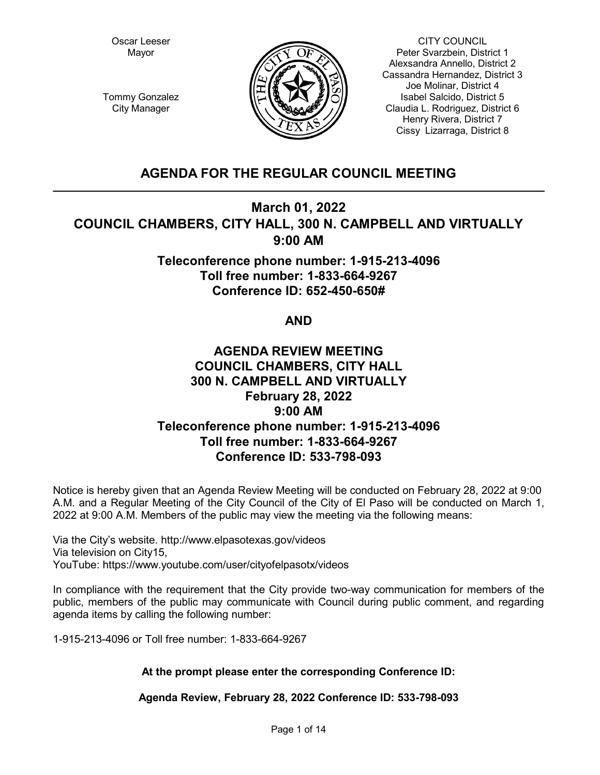Oscar Leeser Mayor



CITY COUNCIL Peter Svarzbein, District 1 Alexsandra Annello, District 2 Cassandra Hernandez, District 3 Joe Molinar, District 4 Isabel Salcido, District 5 Claudia L. Rodriguez, District 6 Henry Rivera, District 7 Cissy Lizarraga, District 8

Tommy Gonzalez City Manager

# **AGENDA FOR THE REGULAR COUNCIL MEETING**

# **March 01, 2022 COUNCIL CHAMBERS, CITY HALL, 300 N. CAMPBELL AND VIRTUALLY 9:00 AM**

**Teleconference phone number: 1-915-213-4096 Toll free number: 1-833-664-9267 Conference ID: 652-450-650#**

# **AND**

# **AGENDA REVIEW MEETING COUNCIL CHAMBERS, CITY HALL 300 N. CAMPBELL AND VIRTUALLY February 28, 2022 9:00 AM Teleconference phone number: 1-915-213-4096 Toll free number: 1-833-664-9267 Conference ID: 533-798-093**

Notice is hereby given that an Agenda Review Meeting will be conducted on February 28, 2022 at 9:00 A.M. and a Regular Meeting of the City Council of the City of El Paso will be conducted on March 1, 2022 at 9:00 A.M. Members of the public may view the meeting via the following means:

Via the City's website. http://www.elpasotexas.gov/videos Via television on City15, YouTube: https://www.youtube.com/user/cityofelpasotx/videos

In compliance with the requirement that the City provide two-way communication for members of the public, members of the public may communicate with Council during public comment, and regarding agenda items by calling the following number:

1-915-213-4096 or Toll free number: 1-833-664-9267

# **At the prompt please enter the corresponding Conference ID:**

**Agenda Review, February 28, 2022 Conference ID: 533-798-093**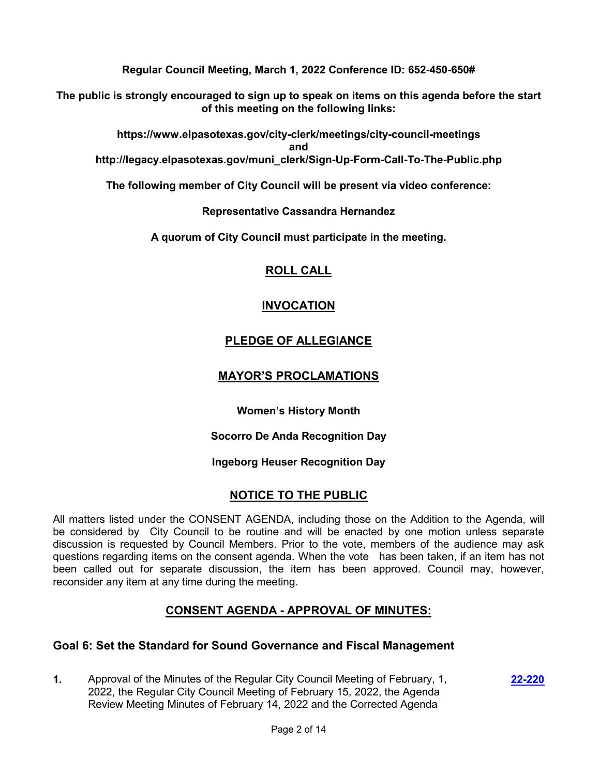**Regular Council Meeting, March 1, 2022 Conference ID: 652-450-650#**

**The public is strongly encouraged to sign up to speak on items on this agenda before the start of this meeting on the following links:**

**https://www.elpasotexas.gov/city-clerk/meetings/city-council-meetings and http://legacy.elpasotexas.gov/muni\_clerk/Sign-Up-Form-Call-To-The-Public.php**

**The following member of City Council will be present via video conference:**

**Representative Cassandra Hernandez**

**A quorum of City Council must participate in the meeting.**

# **ROLL CALL**

# **INVOCATION**

# **PLEDGE OF ALLEGIANCE**

# **MAYOR'S PROCLAMATIONS**

**Women's History Month**

**Socorro De Anda Recognition Day** 

**Ingeborg Heuser Recognition Day**

# **NOTICE TO THE PUBLIC**

All matters listed under the CONSENT AGENDA, including those on the Addition to the Agenda, will be considered by City Council to be routine and will be enacted by one motion unless separate discussion is requested by Council Members. Prior to the vote, members of the audience may ask questions regarding items on the consent agenda. When the vote has been taken, if an item has not been called out for separate discussion, the item has been approved. Council may, however, reconsider any item at any time during the meeting.

# **CONSENT AGENDA - APPROVAL OF MINUTES:**

# **Goal 6: Set the Standard for Sound Governance and Fiscal Management**

**1.** Approval of the Minutes of the Regular City Council Meeting of February, 1, 2022, the Regular City Council Meeting of February 15, 2022, the Agenda Review Meeting Minutes of February 14, 2022 and the Corrected Agenda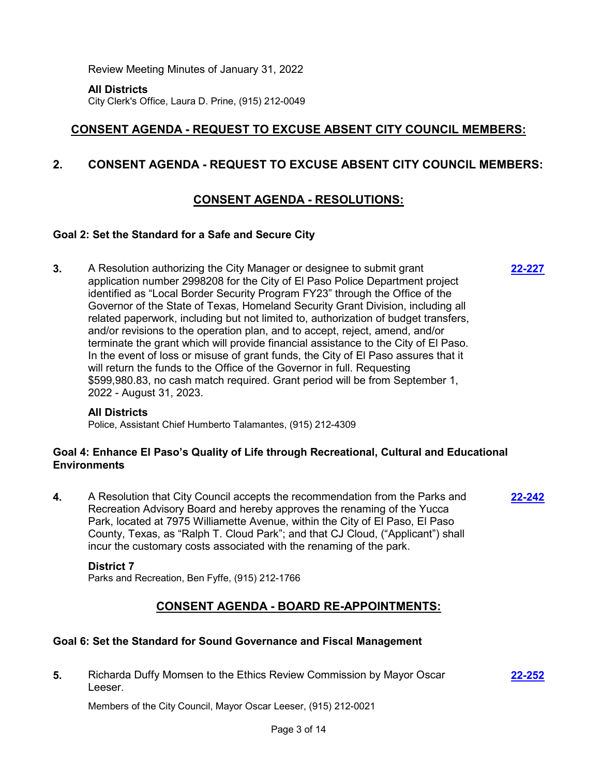Review Meeting Minutes of January 31, 2022

**All Districts**

City Clerk's Office, Laura D. Prine, (915) 212-0049

# **CONSENT AGENDA - REQUEST TO EXCUSE ABSENT CITY COUNCIL MEMBERS:**

# **2. CONSENT AGENDA - REQUEST TO EXCUSE ABSENT CITY COUNCIL MEMBERS:**

# **CONSENT AGENDA - RESOLUTIONS:**

**[22-227](http://elpasotexas.legistar.com/gateway.aspx?m=l&id=/matter.aspx?key=6691)**

**[22-252](http://elpasotexas.legistar.com/gateway.aspx?m=l&id=/matter.aspx?key=6716)**

## **Goal 2: Set the Standard for a Safe and Secure City**

**3.** A Resolution authorizing the City Manager or designee to submit grant application number 2998208 for the City of El Paso Police Department project identified as "Local Border Security Program FY23" through the Office of the Governor of the State of Texas, Homeland Security Grant Division, including all related paperwork, including but not limited to, authorization of budget transfers, and/or revisions to the operation plan, and to accept, reject, amend, and/or terminate the grant which will provide financial assistance to the City of El Paso. In the event of loss or misuse of grant funds, the City of El Paso assures that it will return the funds to the Office of the Governor in full. Requesting \$599,980.83, no cash match required. Grant period will be from September 1, 2022 - August 31, 2023.

### **All Districts**

Police, Assistant Chief Humberto Talamantes, (915) 212-4309

## **Goal 4: Enhance El Paso's Quality of Life through Recreational, Cultural and Educational Environments**

**4.** A Resolution that City Council accepts the recommendation from the Parks and Recreation Advisory Board and hereby approves the renaming of the Yucca Park, located at 7975 Williamette Avenue, within the City of El Paso, El Paso County, Texas, as "Ralph T. Cloud Park"; and that CJ Cloud, ("Applicant") shall incur the customary costs associated with the renaming of the park. **[22-242](http://elpasotexas.legistar.com/gateway.aspx?m=l&id=/matter.aspx?key=6706)**

#### **District 7**

Parks and Recreation, Ben Fyffe, (915) 212-1766

# **CONSENT AGENDA - BOARD RE-APPOINTMENTS:**

## **Goal 6: Set the Standard for Sound Governance and Fiscal Management**

**5.** Richarda Duffy Momsen to the Ethics Review Commission by Mayor Oscar Leeser.

Members of the City Council, Mayor Oscar Leeser, (915) 212-0021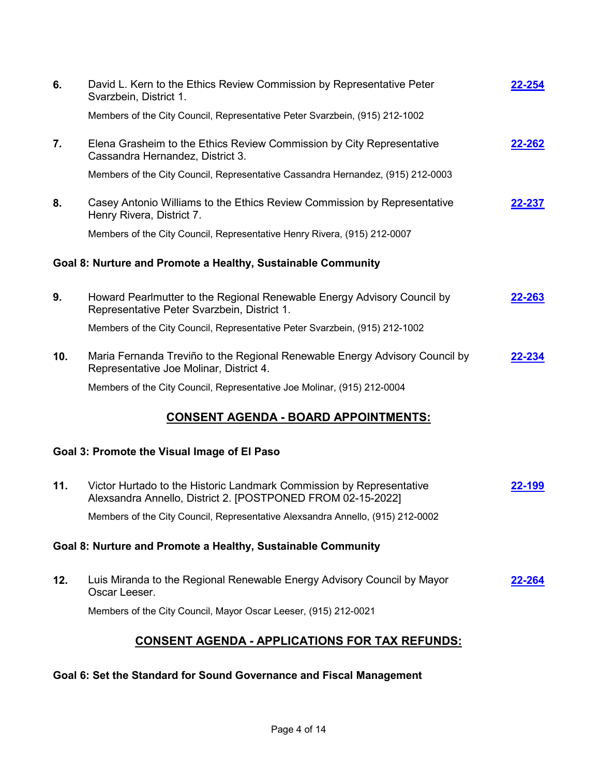| 6.                                                           | David L. Kern to the Ethics Review Commission by Representative Peter<br>Svarzbein, District 1.                                     | 22-254        |  |  |
|--------------------------------------------------------------|-------------------------------------------------------------------------------------------------------------------------------------|---------------|--|--|
|                                                              | Members of the City Council, Representative Peter Svarzbein, (915) 212-1002                                                         |               |  |  |
| 7.                                                           | Elena Grasheim to the Ethics Review Commission by City Representative<br>Cassandra Hernandez, District 3.                           | 22-262        |  |  |
|                                                              | Members of the City Council, Representative Cassandra Hernandez, (915) 212-0003                                                     |               |  |  |
| 8.                                                           | Casey Antonio Williams to the Ethics Review Commission by Representative<br>Henry Rivera, District 7.                               | 22-237        |  |  |
|                                                              | Members of the City Council, Representative Henry Rivera, (915) 212-0007                                                            |               |  |  |
| Goal 8: Nurture and Promote a Healthy, Sustainable Community |                                                                                                                                     |               |  |  |
| 9.                                                           | Howard Pearlmutter to the Regional Renewable Energy Advisory Council by<br>Representative Peter Svarzbein, District 1.              | <u>22-263</u> |  |  |
|                                                              | Members of the City Council, Representative Peter Svarzbein, (915) 212-1002                                                         |               |  |  |
| 10.                                                          | Maria Fernanda Treviño to the Regional Renewable Energy Advisory Council by<br>Representative Joe Molinar, District 4.              | 22-234        |  |  |
|                                                              | Members of the City Council, Representative Joe Molinar, (915) 212-0004                                                             |               |  |  |
| <u> CONSENT AGENDA - BOARD APPOINTMENTS:</u>                 |                                                                                                                                     |               |  |  |
| Goal 3: Promote the Visual Image of El Paso                  |                                                                                                                                     |               |  |  |
| 11.                                                          | Victor Hurtado to the Historic Landmark Commission by Representative<br>Alexsandra Annello, District 2. [POSTPONED FROM 02-15-2022] | 22-199        |  |  |
|                                                              | Members of the City Council, Representative Alexsandra Annello, (915) 212-0002                                                      |               |  |  |
| Goal 8: Nurture and Promote a Healthy, Sustainable Community |                                                                                                                                     |               |  |  |
| 12.                                                          | Luis Miranda to the Regional Renewable Energy Advisory Council by Mayor<br>Oscar Leeser.                                            | <u>22-264</u> |  |  |
|                                                              | Members of the City Council, Mayor Oscar Leeser, (915) 212-0021                                                                     |               |  |  |
| <u>CONSENT AGENDA - APPLICATIONS FOR TAX REFUNDS:</u>        |                                                                                                                                     |               |  |  |

# **Goal 6: Set the Standard for Sound Governance and Fiscal Management**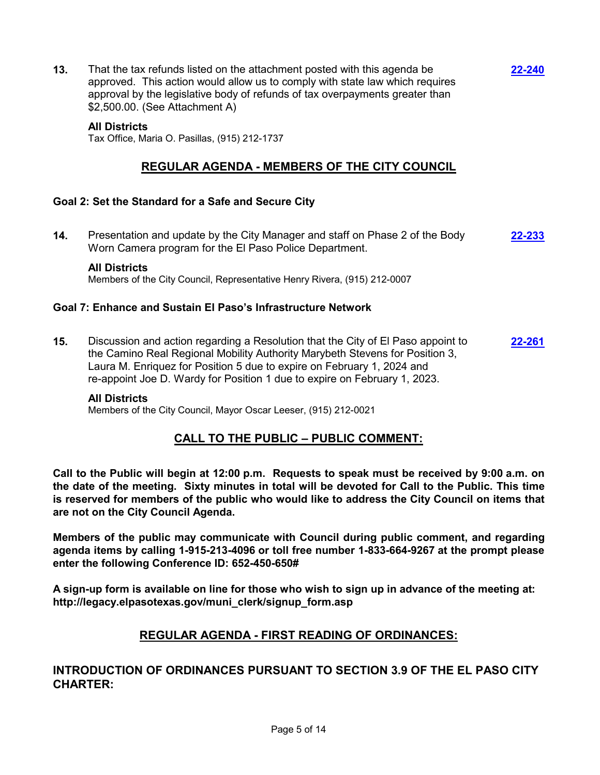**13.** That the tax refunds listed on the attachment posted with this agenda be approved. This action would allow us to comply with state law which requires approval by the legislative body of refunds of tax overpayments greater than \$2,500.00. (See Attachment A)

**[22-240](http://elpasotexas.legistar.com/gateway.aspx?m=l&id=/matter.aspx?key=6704)**

#### **All Districts**

Tax Office, Maria O. Pasillas, (915) 212-1737

# **REGULAR AGENDA - MEMBERS OF THE CITY COUNCIL**

## **Goal 2: Set the Standard for a Safe and Secure City**

**14.** Presentation and update by the City Manager and staff on Phase 2 of the Body Worn Camera program for the El Paso Police Department. **[22-233](http://elpasotexas.legistar.com/gateway.aspx?m=l&id=/matter.aspx?key=6697)**

### **All Districts**

Members of the City Council, Representative Henry Rivera, (915) 212-0007

## **Goal 7: Enhance and Sustain El Paso's Infrastructure Network**

**15.** Discussion and action regarding a Resolution that the City of El Paso appoint to the Camino Real Regional Mobility Authority Marybeth Stevens for Position 3, Laura M. Enriquez for Position 5 due to expire on February 1, 2024 and re-appoint Joe D. Wardy for Position 1 due to expire on February 1, 2023. **[22-261](http://elpasotexas.legistar.com/gateway.aspx?m=l&id=/matter.aspx?key=6725)**

#### **All Districts**

Members of the City Council, Mayor Oscar Leeser, (915) 212-0021

# **CALL TO THE PUBLIC – PUBLIC COMMENT:**

**Call to the Public will begin at 12:00 p.m. Requests to speak must be received by 9:00 a.m. on the date of the meeting. Sixty minutes in total will be devoted for Call to the Public. This time is reserved for members of the public who would like to address the City Council on items that are not on the City Council Agenda.**

**Members of the public may communicate with Council during public comment, and regarding agenda items by calling 1-915-213-4096 or toll free number 1-833-664-9267 at the prompt please enter the following Conference ID: 652-450-650#**

**A sign-up form is available on line for those who wish to sign up in advance of the meeting at: http://legacy.elpasotexas.gov/muni\_clerk/signup\_form.asp**

# **REGULAR AGENDA - FIRST READING OF ORDINANCES:**

# **INTRODUCTION OF ORDINANCES PURSUANT TO SECTION 3.9 OF THE EL PASO CITY CHARTER:**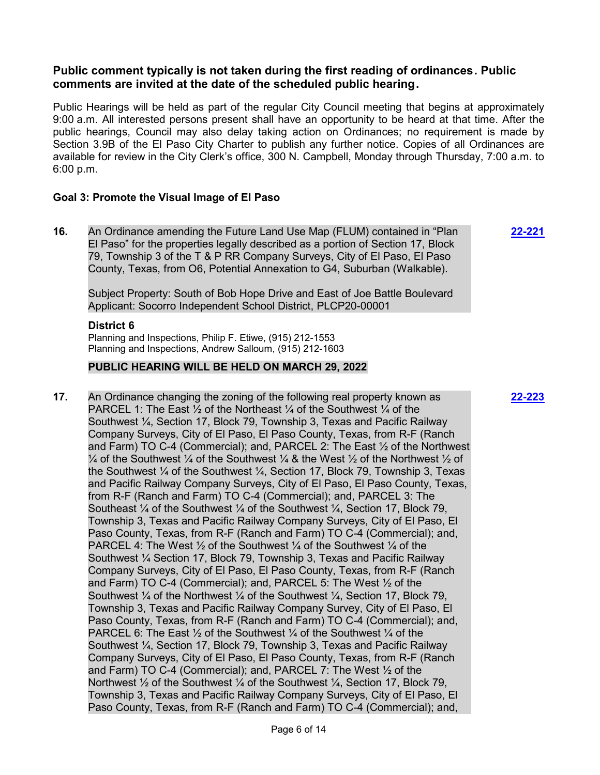## **Public comment typically is not taken during the first reading of ordinances. Public comments are invited at the date of the scheduled public hearing.**

Public Hearings will be held as part of the regular City Council meeting that begins at approximately 9:00 a.m. All interested persons present shall have an opportunity to be heard at that time. After the public hearings, Council may also delay taking action on Ordinances; no requirement is made by Section 3.9B of the El Paso City Charter to publish any further notice. Copies of all Ordinances are available for review in the City Clerk's office, 300 N. Campbell, Monday through Thursday, 7:00 a.m. to 6:00 p.m.

## **Goal 3: Promote the Visual Image of El Paso**

**16.** An Ordinance amending the Future Land Use Map (FLUM) contained in "Plan El Paso" for the properties legally described as a portion of Section 17, Block 79, Township 3 of the T & P RR Company Surveys, City of El Paso, El Paso County, Texas, from O6, Potential Annexation to G4, Suburban (Walkable).

Subject Property: South of Bob Hope Drive and East of Joe Battle Boulevard Applicant: Socorro Independent School District, PLCP20-00001

## **District 6**

Planning and Inspections, Philip F. Etiwe, (915) 212-1553 Planning and Inspections, Andrew Salloum, (915) 212-1603

## **PUBLIC HEARING WILL BE HELD ON MARCH 29, 2022**

**17.** An Ordinance changing the zoning of the following real property known as PARCEL 1: The East  $\frac{1}{2}$  of the Northeast  $\frac{1}{4}$  of the Southwest  $\frac{1}{4}$  of the Southwest ¼, Section 17, Block 79, Township 3, Texas and Pacific Railway Company Surveys, City of El Paso, El Paso County, Texas, from R-F (Ranch and Farm) TO C-4 (Commercial); and, PARCEL 2: The East ½ of the Northwest  $\frac{1}{4}$  of the Southwest  $\frac{1}{4}$  of the Southwest  $\frac{1}{4}$  & the West  $\frac{1}{2}$  of the Northwest  $\frac{1}{2}$  of the Southwest  $\frac{1}{4}$  of the Southwest  $\frac{1}{4}$ . Section 17, Block 79, Township 3, Texas and Pacific Railway Company Surveys, City of El Paso, El Paso County, Texas, from R-F (Ranch and Farm) TO C-4 (Commercial); and, PARCEL 3: The Southeast  $\frac{1}{4}$  of the Southwest  $\frac{1}{4}$  of the Southwest  $\frac{1}{4}$ , Section 17, Block 79, Township 3, Texas and Pacific Railway Company Surveys, City of El Paso, El Paso County, Texas, from R-F (Ranch and Farm) TO C-4 (Commercial); and, PARCEL 4: The West  $\frac{1}{2}$  of the Southwest  $\frac{1}{4}$  of the Southwest  $\frac{1}{4}$  of the Southwest ¼ Section 17, Block 79, Township 3, Texas and Pacific Railway Company Surveys, City of El Paso, El Paso County, Texas, from R-F (Ranch and Farm) TO C-4 (Commercial); and, PARCEL 5: The West ½ of the Southwest  $\frac{1}{4}$  of the Northwest  $\frac{1}{4}$  of the Southwest  $\frac{1}{4}$ , Section 17, Block 79, Township 3, Texas and Pacific Railway Company Survey, City of El Paso, El Paso County, Texas, from R-F (Ranch and Farm) TO C-4 (Commercial); and, PARCEL 6: The East  $\frac{1}{2}$  of the Southwest  $\frac{1}{4}$  of the Southwest  $\frac{1}{4}$  of the Southwest ¼, Section 17, Block 79, Township 3, Texas and Pacific Railway Company Surveys, City of El Paso, El Paso County, Texas, from R-F (Ranch and Farm) TO C-4 (Commercial); and, PARCEL 7: The West ½ of the Northwest  $\frac{1}{2}$  of the Southwest  $\frac{1}{4}$  of the Southwest  $\frac{1}{4}$ , Section 17, Block 79, Township 3, Texas and Pacific Railway Company Surveys, City of El Paso, El Paso County, Texas, from R-F (Ranch and Farm) TO C-4 (Commercial); and,

**[22-223](http://elpasotexas.legistar.com/gateway.aspx?m=l&id=/matter.aspx?key=6687)**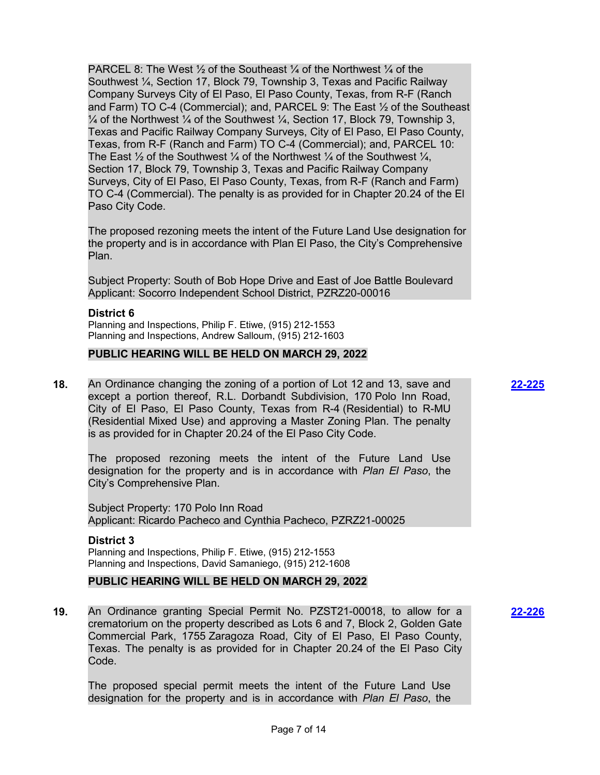PARCEL 8: The West  $\frac{1}{2}$  of the Southeast  $\frac{1}{4}$  of the Northwest  $\frac{1}{4}$  of the Southwest ¼, Section 17, Block 79, Township 3, Texas and Pacific Railway Company Surveys City of El Paso, El Paso County, Texas, from R-F (Ranch and Farm) TO C-4 (Commercial); and, PARCEL 9: The East ½ of the Southeast  $\frac{1}{4}$  of the Northwest  $\frac{1}{4}$  of the Southwest  $\frac{1}{4}$ , Section 17, Block 79, Township 3, Texas and Pacific Railway Company Surveys, City of El Paso, El Paso County, Texas, from R-F (Ranch and Farm) TO C-4 (Commercial); and, PARCEL 10: The East  $\frac{1}{2}$  of the Southwest  $\frac{1}{4}$  of the Northwest  $\frac{1}{4}$  of the Southwest  $\frac{1}{4}$ , Section 17, Block 79, Township 3, Texas and Pacific Railway Company Surveys, City of El Paso, El Paso County, Texas, from R-F (Ranch and Farm) TO C-4 (Commercial). The penalty is as provided for in Chapter 20.24 of the El Paso City Code.

The proposed rezoning meets the intent of the Future Land Use designation for the property and is in accordance with Plan El Paso, the City's Comprehensive Plan.

Subject Property: South of Bob Hope Drive and East of Joe Battle Boulevard Applicant: Socorro Independent School District, PZRZ20-00016

### **District 6**

Planning and Inspections, Philip F. Etiwe, (915) 212-1553 Planning and Inspections, Andrew Salloum, (915) 212-1603

### **PUBLIC HEARING WILL BE HELD ON MARCH 29, 2022**

**18.** An Ordinance changing the zoning of a portion of Lot 12 and 13, save and except a portion thereof, R.L. Dorbandt Subdivision, 170 Polo Inn Road, City of El Paso, El Paso County, Texas from R-4 (Residential) to R-MU (Residential Mixed Use) and approving a Master Zoning Plan. The penalty is as provided for in Chapter 20.24 of the El Paso City Code.

The proposed rezoning meets the intent of the Future Land Use designation for the property and is in accordance with *Plan El Paso*, the City's Comprehensive Plan.

Subject Property: 170 Polo Inn Road Applicant: Ricardo Pacheco and Cynthia Pacheco, PZRZ21-00025

#### **District 3**

Planning and Inspections, Philip F. Etiwe, (915) 212-1553 Planning and Inspections, David Samaniego, (915) 212-1608

### **PUBLIC HEARING WILL BE HELD ON MARCH 29, 2022**

**19.** An Ordinance granting Special Permit No. PZST21-00018, to allow for a crematorium on the property described as Lots 6 and 7, Block 2, Golden Gate Commercial Park, 1755 Zaragoza Road, City of El Paso, El Paso County, Texas. The penalty is as provided for in Chapter 20.24 of the El Paso City Code.

The proposed special permit meets the intent of the Future Land Use designation for the property and is in accordance with *Plan El Paso*, the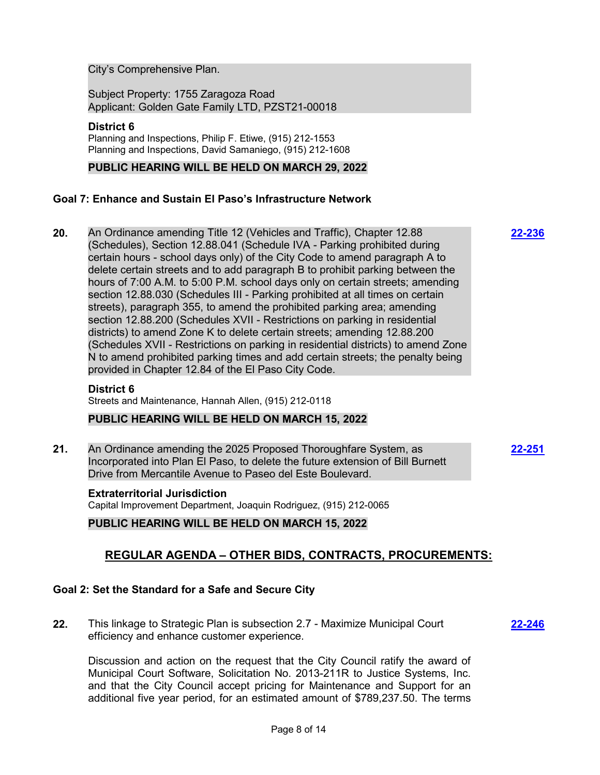City's Comprehensive Plan.

Subject Property: 1755 Zaragoza Road Applicant: Golden Gate Family LTD, PZST21-00018

## **District 6**

Planning and Inspections, Philip F. Etiwe, (915) 212-1553 Planning and Inspections, David Samaniego, (915) 212-1608

## **PUBLIC HEARING WILL BE HELD ON MARCH 29, 2022**

## **Goal 7: Enhance and Sustain El Paso's Infrastructure Network**

**20.** An Ordinance amending Title 12 (Vehicles and Traffic), Chapter 12.88 (Schedules), Section 12.88.041 (Schedule IVA - Parking prohibited during certain hours - school days only) of the City Code to amend paragraph A to delete certain streets and to add paragraph B to prohibit parking between the hours of 7:00 A.M. to 5:00 P.M. school days only on certain streets; amending section 12.88.030 (Schedules III - Parking prohibited at all times on certain streets), paragraph 355, to amend the prohibited parking area; amending section 12.88.200 (Schedules XVII - Restrictions on parking in residential districts) to amend Zone K to delete certain streets; amending 12.88.200 (Schedules XVII - Restrictions on parking in residential districts) to amend Zone N to amend prohibited parking times and add certain streets; the penalty being provided in Chapter 12.84 of the El Paso City Code.

#### **District 6**

Streets and Maintenance, Hannah Allen, (915) 212-0118

### **PUBLIC HEARING WILL BE HELD ON MARCH 15, 2022**

**21.** An Ordinance amending the 2025 Proposed Thoroughfare System, as Incorporated into Plan El Paso, to delete the future extension of Bill Burnett Drive from Mercantile Avenue to Paseo del Este Boulevard.

# **Extraterritorial Jurisdiction**

Capital Improvement Department, Joaquin Rodriguez, (915) 212-0065

## **PUBLIC HEARING WILL BE HELD ON MARCH 15, 2022**

# **REGULAR AGENDA – OTHER BIDS, CONTRACTS, PROCUREMENTS:**

## **Goal 2: Set the Standard for a Safe and Secure City**

**22.** This linkage to Strategic Plan is subsection 2.7 - Maximize Municipal Court efficiency and enhance customer experience.

**[22-246](http://elpasotexas.legistar.com/gateway.aspx?m=l&id=/matter.aspx?key=6710)**

Discussion and action on the request that the City Council ratify the award of Municipal Court Software, Solicitation No. 2013-211R to Justice Systems, Inc. and that the City Council accept pricing for Maintenance and Support for an additional five year period, for an estimated amount of \$789,237.50. The terms **[22-236](http://elpasotexas.legistar.com/gateway.aspx?m=l&id=/matter.aspx?key=6700)**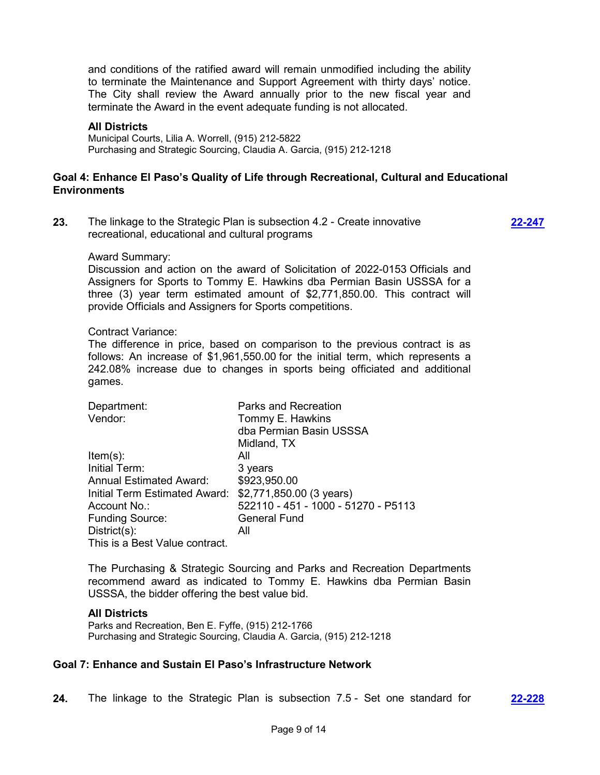and conditions of the ratified award will remain unmodified including the ability to terminate the Maintenance and Support Agreement with thirty days' notice. The City shall review the Award annually prior to the new fiscal year and terminate the Award in the event adequate funding is not allocated.

#### **All Districts**

Municipal Courts, Lilia A. Worrell, (915) 212-5822 Purchasing and Strategic Sourcing, Claudia A. Garcia, (915) 212-1218

## **Goal 4: Enhance El Paso's Quality of Life through Recreational, Cultural and Educational Environments**

**23.** The linkage to the Strategic Plan is subsection 4.2 - Create innovative recreational, educational and cultural programs

**[22-247](http://elpasotexas.legistar.com/gateway.aspx?m=l&id=/matter.aspx?key=6711)**

#### Award Summary:

Discussion and action on the award of Solicitation of 2022-0153 Officials and Assigners for Sports to Tommy E. Hawkins dba Permian Basin USSSA for a three (3) year term estimated amount of \$2,771,850.00. This contract will provide Officials and Assigners for Sports competitions.

#### Contract Variance:

The difference in price, based on comparison to the previous contract is as follows: An increase of \$1,961,550.00 for the initial term, which represents a 242.08% increase due to changes in sports being officiated and additional games.

| Department:                    | <b>Parks and Recreation</b>         |
|--------------------------------|-------------------------------------|
| Vendor:                        | Tommy E. Hawkins                    |
|                                | dba Permian Basin USSSA             |
|                                | Midland, TX                         |
| $Item(s)$ :                    | All                                 |
| Initial Term:                  | 3 years                             |
| <b>Annual Estimated Award:</b> | \$923,950.00                        |
| Initial Term Estimated Award:  | \$2,771,850.00 (3 years)            |
| Account No.:                   | 522110 - 451 - 1000 - 51270 - P5113 |
| <b>Funding Source:</b>         | <b>General Fund</b>                 |
| $District(s)$ :                | All                                 |
| This is a Best Value contract. |                                     |

The Purchasing & Strategic Sourcing and Parks and Recreation Departments recommend award as indicated to Tommy E. Hawkins dba Permian Basin USSSA, the bidder offering the best value bid.

#### **All Districts**

Parks and Recreation, Ben E. Fyffe, (915) 212-1766 Purchasing and Strategic Sourcing, Claudia A. Garcia, (915) 212-1218

#### **Goal 7: Enhance and Sustain El Paso's Infrastructure Network**

**24.** The linkage to the Strategic Plan is subsection 7.5 - Set one standard for **[22-228](http://elpasotexas.legistar.com/gateway.aspx?m=l&id=/matter.aspx?key=6692)**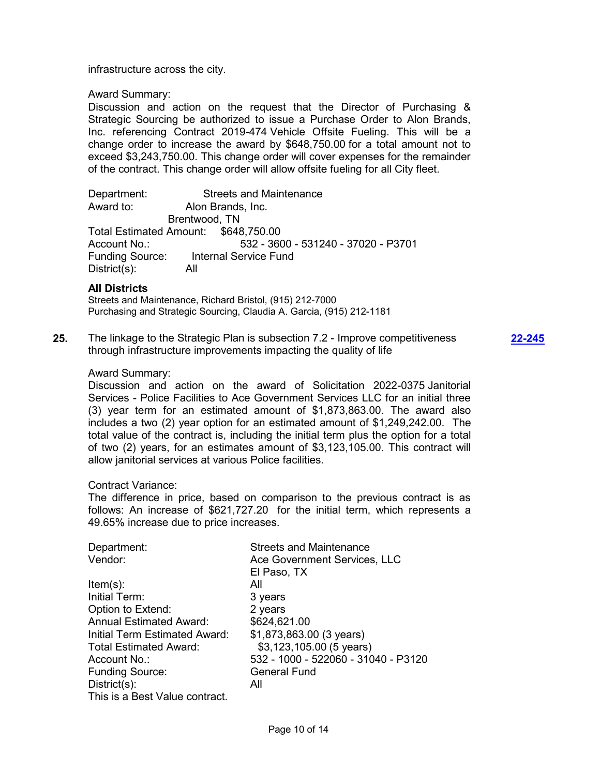infrastructure across the city.

Award Summary:

Discussion and action on the request that the Director of Purchasing & Strategic Sourcing be authorized to issue a Purchase Order to Alon Brands, Inc. referencing Contract 2019-474 Vehicle Offsite Fueling. This will be a change order to increase the award by \$648,750.00 for a total amount not to exceed \$3,243,750.00. This change order will cover expenses for the remainder of the contract. This change order will allow offsite fueling for all City fleet.

Department: Streets and Maintenance Award to: Alon Brands, Inc. Brentwood, TN Total Estimated Amount: \$648,750.00<br>Account No.: 532 - 360 532 - 3600 - 531240 - 37020 - P3701 Funding Source: Internal Service Fund District(s): All

### **All Districts**

Streets and Maintenance, Richard Bristol, (915) 212-7000 Purchasing and Strategic Sourcing, Claudia A. Garcia, (915) 212-1181

**25.** The linkage to the Strategic Plan is subsection 7.2 - Improve competitiveness through infrastructure improvements impacting the quality of life

**[22-245](http://elpasotexas.legistar.com/gateway.aspx?m=l&id=/matter.aspx?key=6709)**

### Award Summary:

Discussion and action on the award of Solicitation 2022-0375 Janitorial Services - Police Facilities to Ace Government Services LLC for an initial three (3) year term for an estimated amount of \$1,873,863.00. The award also includes a two (2) year option for an estimated amount of \$1,249,242.00. The total value of the contract is, including the initial term plus the option for a total of two (2) years, for an estimates amount of \$3,123,105.00. This contract will allow janitorial services at various Police facilities.

## Contract Variance:

The difference in price, based on comparison to the previous contract is as follows: An increase of \$621,727.20 for the initial term, which represents a 49.65% increase due to price increases.

| Department:                    | <b>Streets and Maintenance</b>      |
|--------------------------------|-------------------------------------|
| Vendor:                        | Ace Government Services, LLC        |
|                                | El Paso, TX                         |
| $Item(s)$ :                    | All                                 |
| Initial Term:                  | 3 years                             |
| Option to Extend:              | 2 years                             |
| <b>Annual Estimated Award:</b> | \$624,621.00                        |
| Initial Term Estimated Award:  | \$1,873,863.00 (3 years)            |
| <b>Total Estimated Award:</b>  | \$3,123,105.00 (5 years)            |
| Account No.:                   | 532 - 1000 - 522060 - 31040 - P3120 |
| <b>Funding Source:</b>         | <b>General Fund</b>                 |
| $Distribt(s)$ :                | All                                 |
| This is a Best Value contract. |                                     |
|                                |                                     |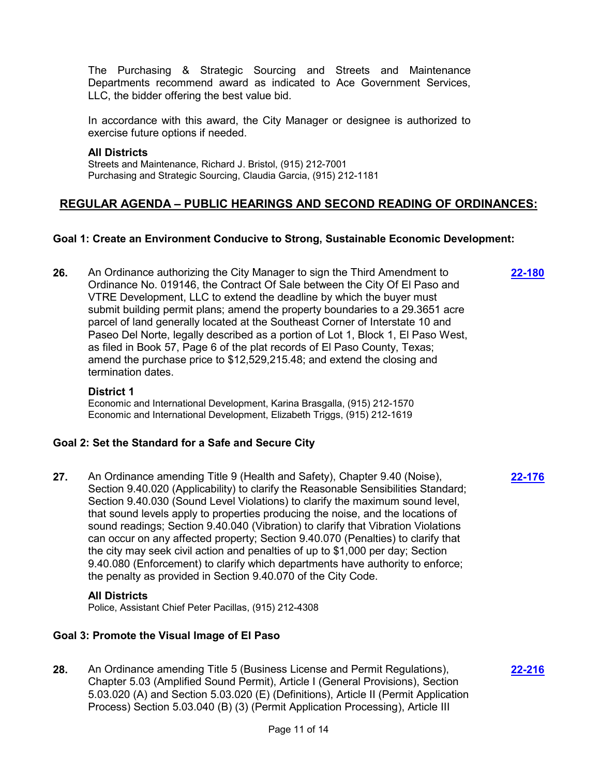The Purchasing & Strategic Sourcing and Streets and Maintenance Departments recommend award as indicated to Ace Government Services, LLC, the bidder offering the best value bid.

In accordance with this award, the City Manager or designee is authorized to exercise future options if needed.

## **All Districts**

Streets and Maintenance, Richard J. Bristol, (915) 212-7001 Purchasing and Strategic Sourcing, Claudia Garcia, (915) 212-1181

# **REGULAR AGENDA – PUBLIC HEARINGS AND SECOND READING OF ORDINANCES:**

## **Goal 1: Create an Environment Conducive to Strong, Sustainable Economic Development:**

**26.** An Ordinance authorizing the City Manager to sign the Third Amendment to Ordinance No. 019146, the Contract Of Sale between the City Of El Paso and VTRE Development, LLC to extend the deadline by which the buyer must submit building permit plans; amend the property boundaries to a 29.3651 acre parcel of land generally located at the Southeast Corner of Interstate 10 and Paseo Del Norte, legally described as a portion of Lot 1, Block 1, El Paso West, as filed in Book 57, Page 6 of the plat records of El Paso County, Texas; amend the purchase price to \$12,529,215.48; and extend the closing and termination dates.

### **District 1**

Economic and International Development, Karina Brasgalla, (915) 212-1570 Economic and International Development, Elizabeth Triggs, (915) 212-1619

## **Goal 2: Set the Standard for a Safe and Secure City**

**27.** An Ordinance amending Title 9 (Health and Safety), Chapter 9.40 (Noise), Section 9.40.020 (Applicability) to clarify the Reasonable Sensibilities Standard; Section 9.40.030 (Sound Level Violations) to clarify the maximum sound level, that sound levels apply to properties producing the noise, and the locations of sound readings; Section 9.40.040 (Vibration) to clarify that Vibration Violations can occur on any affected property; Section 9.40.070 (Penalties) to clarify that the city may seek civil action and penalties of up to \$1,000 per day; Section 9.40.080 (Enforcement) to clarify which departments have authority to enforce; the penalty as provided in Section 9.40.070 of the City Code.

### **All Districts**

Police, Assistant Chief Peter Pacillas, (915) 212-4308

## **Goal 3: Promote the Visual Image of El Paso**

**28.** An Ordinance amending Title 5 (Business License and Permit Regulations), Chapter 5.03 (Amplified Sound Permit), Article I (General Provisions), Section 5.03.020 (A) and Section 5.03.020 (E) (Definitions), Article II (Permit Application Process) Section 5.03.040 (B) (3) (Permit Application Processing), Article III

**[22-216](http://elpasotexas.legistar.com/gateway.aspx?m=l&id=/matter.aspx?key=6680)**

**[22-176](http://elpasotexas.legistar.com/gateway.aspx?m=l&id=/matter.aspx?key=6640)**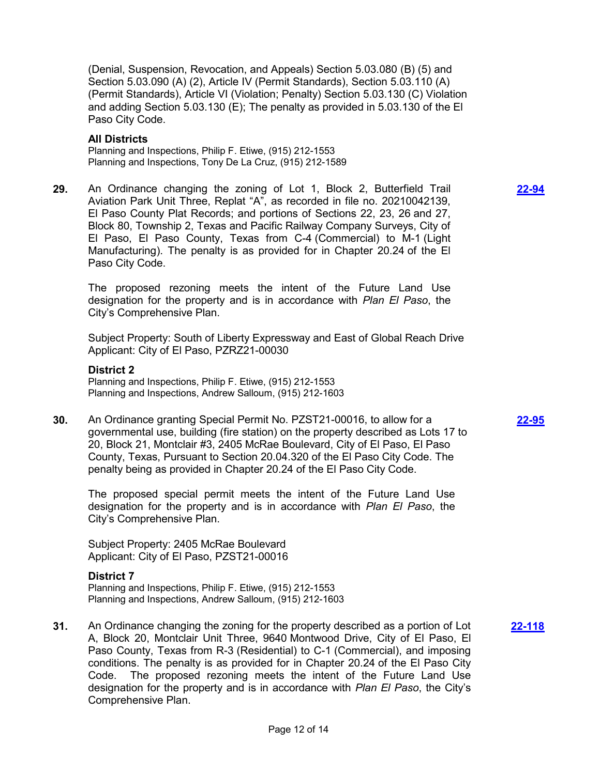(Denial, Suspension, Revocation, and Appeals) Section 5.03.080 (B) (5) and Section 5.03.090 (A) (2), Article IV (Permit Standards), Section 5.03.110 (A) (Permit Standards), Article VI (Violation; Penalty) Section 5.03.130 (C) Violation and adding Section 5.03.130 (E); The penalty as provided in 5.03.130 of the El Paso City Code.

### **All Districts**

Planning and Inspections, Philip F. Etiwe, (915) 212-1553 Planning and Inspections, Tony De La Cruz, (915) 212-1589

**29.** An Ordinance changing the zoning of Lot 1, Block 2, Butterfield Trail Aviation Park Unit Three, Replat "A", as recorded in file no. 20210042139, El Paso County Plat Records; and portions of Sections 22, 23, 26 and 27, Block 80, Township 2, Texas and Pacific Railway Company Surveys, City of El Paso, El Paso County, Texas from C-4 (Commercial) to M-1 (Light Manufacturing). The penalty is as provided for in Chapter 20.24 of the El Paso City Code.

The proposed rezoning meets the intent of the Future Land Use designation for the property and is in accordance with *Plan El Paso*, the City's Comprehensive Plan.

Subject Property: South of Liberty Expressway and East of Global Reach Drive Applicant: City of El Paso, PZRZ21-00030

#### **District 2**

Planning and Inspections, Philip F. Etiwe, (915) 212-1553 Planning and Inspections, Andrew Salloum, (915) 212-1603

**30.** An Ordinance granting Special Permit No. PZST21-00016, to allow for a governmental use, building (fire station) on the property described as Lots 17 to 20, Block 21, Montclair #3, 2405 McRae Boulevard, City of El Paso, El Paso County, Texas, Pursuant to Section 20.04.320 of the El Paso City Code. The penalty being as provided in Chapter 20.24 of the El Paso City Code.

The proposed special permit meets the intent of the Future Land Use designation for the property and is in accordance with *Plan El Paso*, the City's Comprehensive Plan.

Subject Property: 2405 McRae Boulevard Applicant: City of El Paso, PZST21-00016

### **District 7**

Planning and Inspections, Philip F. Etiwe, (915) 212-1553 Planning and Inspections, Andrew Salloum, (915) 212-1603

**31.** An Ordinance changing the zoning for the property described as a portion of Lot A, Block 20, Montclair Unit Three, 9640 Montwood Drive, City of El Paso, El Paso County, Texas from R-3 (Residential) to C-1 (Commercial), and imposing conditions. The penalty is as provided for in Chapter 20.24 of the El Paso City Code. The proposed rezoning meets the intent of the Future Land Use designation for the property and is in accordance with *Plan El Paso*, the City's Comprehensive Plan. **[22-118](http://elpasotexas.legistar.com/gateway.aspx?m=l&id=/matter.aspx?key=6582)**

**[22-94](http://elpasotexas.legistar.com/gateway.aspx?m=l&id=/matter.aspx?key=6558)**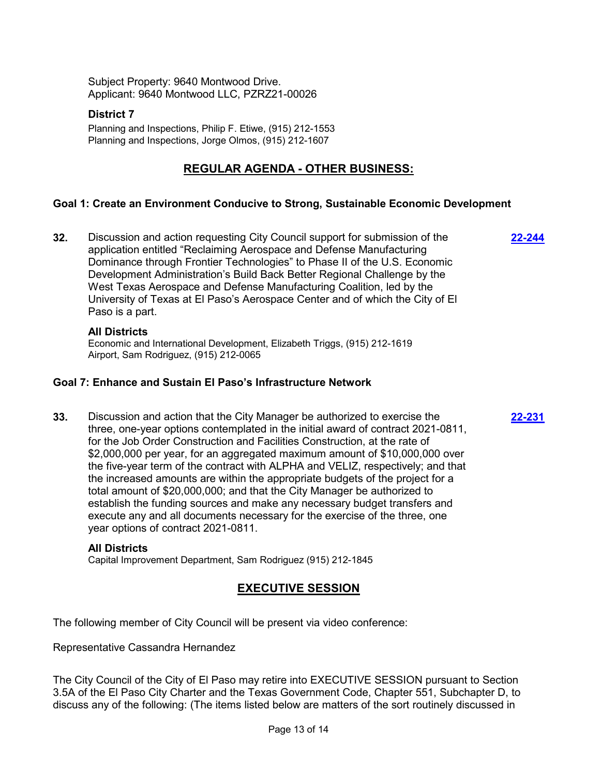Subject Property: 9640 Montwood Drive. Applicant: 9640 Montwood LLC, PZRZ21-00026

## **District 7**

Planning and Inspections, Philip F. Etiwe, (915) 212-1553 Planning and Inspections, Jorge Olmos, (915) 212-1607

# **REGULAR AGENDA - OTHER BUSINESS:**

## **Goal 1: Create an Environment Conducive to Strong, Sustainable Economic Development**

**32.** Discussion and action requesting City Council support for submission of the application entitled "Reclaiming Aerospace and Defense Manufacturing Dominance through Frontier Technologies" to Phase II of the U.S. Economic Development Administration's Build Back Better Regional Challenge by the West Texas Aerospace and Defense Manufacturing Coalition, led by the University of Texas at El Paso's Aerospace Center and of which the City of El Paso is a part. **[22-244](http://elpasotexas.legistar.com/gateway.aspx?m=l&id=/matter.aspx?key=6708)**

### **All Districts**

Economic and International Development, Elizabeth Triggs, (915) 212-1619 Airport, Sam Rodriguez, (915) 212-0065

## **Goal 7: Enhance and Sustain El Paso's Infrastructure Network**

**33.** Discussion and action that the City Manager be authorized to exercise the three, one-year options contemplated in the initial award of contract 2021-0811, for the Job Order Construction and Facilities Construction, at the rate of \$2,000,000 per year, for an aggregated maximum amount of \$10,000,000 over the five-year term of the contract with ALPHA and VELIZ, respectively; and that the increased amounts are within the appropriate budgets of the project for a total amount of \$20,000,000; and that the City Manager be authorized to establish the funding sources and make any necessary budget transfers and execute any and all documents necessary for the exercise of the three, one year options of contract 2021-0811.

#### **All Districts**

Capital Improvement Department, Sam Rodriguez (915) 212-1845

# **EXECUTIVE SESSION**

**[22-231](http://elpasotexas.legistar.com/gateway.aspx?m=l&id=/matter.aspx?key=6695)**

The following member of City Council will be present via video conference:

Representative Cassandra Hernandez

The City Council of the City of El Paso may retire into EXECUTIVE SESSION pursuant to Section 3.5A of the El Paso City Charter and the Texas Government Code, Chapter 551, Subchapter D, to discuss any of the following: (The items listed below are matters of the sort routinely discussed in